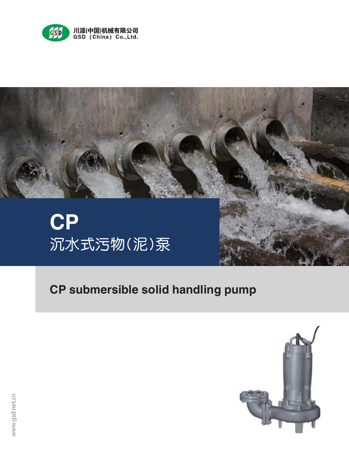



# **CP submersible solid handling pump**

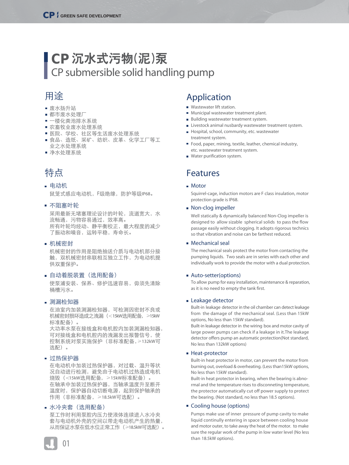# **CP** 沉水式污物(泥)泵 CP submersible solid handling pump

- 
- 
- 
- 
- 
- 

- $F$  IP68
- 
- 
- 
- 
- $<$ 15kW $>$ 15kW
- $\geqslant$  132kW
- $<$ 15kW  $\ge$  15kW
	-
	- $≥18.5kW$
	- $\geqslant$ 18.5kW

### Application

- **Wastewater lift station.**
- **Municipal wastewater treatment plant.**
- **Building wastewater treatment system.**
- **Livestock animal nusbardy wastewater treatment system.**
- Hospital, school, community, etc. wastewater treatment system.
- Food, paper, mining, textile, leather, chemical industry, etc. wastewater treatment system.
- **Water purification system.**

### **Features**

#### Motor

Squirrel-cage, induction motors are F class insulation, motor protection grade is IP68.

#### • Non-clog impeller

Well statically & dynamically balanced Non-Clog impeller is designed to allow sizable spherical solids to pass the flow passage easily without clogging. It adopts rigorous technics so that vibration and noise can be farthest reduced.

#### Mechanical seal

The mechanical seals protect the motor from contacting the pumping liquids. Two seals are in series with each other and individually work to provide the motor with a dual protection.

### ■ Auto-setter(options)

To allow pump for easy installation, maintenance & reparation, as it is no need to empty the tank first.

### **Leakage detector**

Built-in leakage detector in the oil chamber can detect leakage from the damage of the mechanical seal. (Less than 15kW options, No less than 15kW standard).

Built-in leakage detector in the wiring box and motor cavity of large power pumps can check if a leakage in it.The leakage detector offers pump an automatic protection(Not standard, No less than 132kW options)

### Heat-protector

Built-in heat protector in motor, can prevent the motor from burning out, overload & overheating. (Less than15kW options, No less than 15kW standard).

Built-in heat protector in bearing, when the bearing is abnormal and the temperature rises to disconneting temperature, the protector automatically cut off power supply to protect the bearing. (Not standard, no less than 18.5 options).

### Cooling house (options)

Pumps make use of inner pressure of pump cavity to make liquid continully entering in space between cooling house and motor outer, to take away the heat of the motor. to make sure the regular work of the pump in low water level (No less than 18.5kW options).

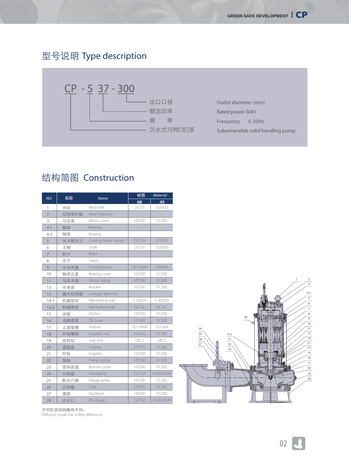### Type description



### Construction

| NO.            | <b>Name</b>          | <b>Material</b>  |                  |  |  |
|----------------|----------------------|------------------|------------------|--|--|
|                |                      | <b>GB</b>        | <b>JIS</b>       |  |  |
| 1              | Neck bolt            | 2Cr13            | <b>SUS420</b>    |  |  |
| $\overline{2}$ | Heat-Protector       |                  |                  |  |  |
| 3              | Motor cover          | <b>HT200</b>     | FC200            |  |  |
| $4 - 1$        | Bearing              |                  |                  |  |  |
| $4 - 2$        | Bearing              |                  |                  |  |  |
| 5              | Cooling house flange | Q215A            | LSS330           |  |  |
| 6              | Shaft                | 2Cr13            | <b>SUS420</b>    |  |  |
| 7              | Rotor                |                  |                  |  |  |
| 8              | Stator               |                  |                  |  |  |
| 9              | Cooling house        | OCr18Ni9         | <b>SUS304</b>    |  |  |
| 10             | Bearing cover        | <b>HT200</b>     | FC200            |  |  |
| 11             | Motor casing         | <b>HT200</b>     | FC200            |  |  |
| 12             | Bracket              | HT200            | FC200            |  |  |
| 13             | Leakage detector     |                  |                  |  |  |
| $14-1$         | Mechanical seal      | $C-AI2O3$        | $C-A12O3$        |  |  |
| $14 - 2$       | Mechanical seal      | SiC-SiC          | SiC-SiC          |  |  |
| 15             | Oil box              | HT200            | FC200            |  |  |
| 16             | Oil cover            | <b>HT200</b>     | FC200            |  |  |
| 17             | Washer               | 0Cr18Ni9         | <b>SUS304</b>    |  |  |
| 18             | Impeller nut         | <b>HT200</b>     | FC200            |  |  |
| 19             | Seal-ring            | LBC <sub>2</sub> | LBC <sub>2</sub> |  |  |
| 20             | Strainer             | <b>HT200</b>     | FC200            |  |  |
| 21             | Impeller             | HT200            | FC200            |  |  |
| 22             | Pump casing          | <b>HT200</b>     | FC200            |  |  |
| 23             | <b>Bottom cover</b>  | HT200            | FC200            |  |  |
| 24             | Pail piping          | Q215A            | SS330/SS34       |  |  |
| 25             | Flange setter        | <b>HT200</b>     | FC200            |  |  |
| 26             | Slide                | <b>HT200</b>     | FC200            |  |  |
| 27             | Duckfoot             | HT200            | FC200            |  |  |
| 28             | Discharge            | Q215A            | SS330/SS34       |  |  |



Different model has a little difference.

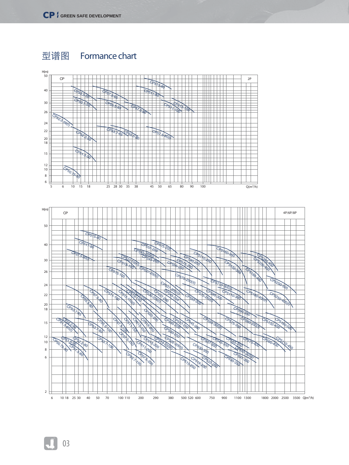

Formance chart

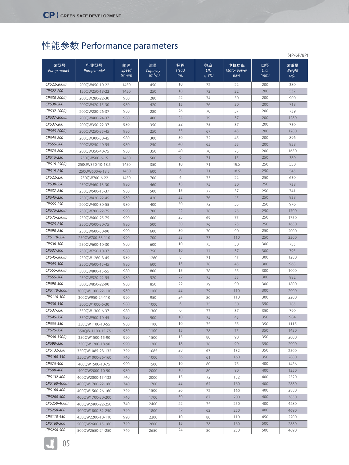# Performance parameters

|               |                                   |                  |                       |             |               |                     |              | (4P/6P/8P)     |  |
|---------------|-----------------------------------|------------------|-----------------------|-------------|---------------|---------------------|--------------|----------------|--|
| Pump model    | Pump model                        | Speed<br>(r/min) | Capacity<br>$(m^3/h)$ | Head<br>(m) | Eff.<br>η (%) | Motor power<br>(kw) | Dia.<br>(mm) | Weight<br>(kg) |  |
| CP522-200(I)  | 200QW450-10-22                    | 1450             | 450                   | 10          | 72            | 22                  | 200          | 380            |  |
| CP522-200     | 150QW250-18-22                    | 1450             | 250                   | 18          | 72            | 22                  | 200          | 532            |  |
| CP530-200(I)  | 200QW280-22-30                    | 980              | 280                   | 22          | 74            | 30                  | 200          | 900            |  |
| CP530-200     | 200QW420-15-30                    | 980              | 420                   | 15          | 76            | 30                  | 200          | 718            |  |
| CP537-200(I)  | 200QW280-26-37                    | 980              | 280                   | 26          | 70            | 37                  | 200          | 739            |  |
| CP537-200(II) | 200QW400-24-37                    | 980              | 400                   | 24          | 79            | 37                  | 200          | 1280           |  |
| CP537-200     | 200QW350-22-37                    | 980              | 350                   | 22          | 75            | 37                  | 200          | 730            |  |
| CP545-200(I)  | 200QW250-35-45                    | 980              | 250                   | 35          | 67            | 45                  | 200          | 1280           |  |
| CP545-200     | 200QW300-30-45                    | 980              | 300                   | 30          | 72            | 45                  | 200          | 896            |  |
| CP555-200     | 200QW250-40-55                    | 980              | 250                   | 40          | 65            | 55                  | 200          | 958            |  |
| CP575-200     | 200QW350-40-75                    | 980              | 350                   | 40          | 70            | 75                  | 200          | 1650           |  |
| CP515-250     | 250QW500-6-15                     | 1450             | 500                   | 6           | 71            | 15                  | 250          | 380            |  |
| CP519-250(I)  | 250QW350-10-18.5                  | 1450             | 350                   | 10          | 71            | 18.5                | 250          | 550            |  |
| CP519-250     | 250QW600-6-18.5                   | 1450             | 600                   | 6           | 71            | 18.5                | 250          | 545            |  |
| CP522-250     | 250QW700-6-22                     | 1450             | 700                   | 6           | 73            | 22                  | 250          | 630            |  |
| CP530-250     | 250QW460-13-30                    | 980              | 460                   | 13          | 75            | 30                  | 250          | 738            |  |
| CP537-250     | 250QW500-15-37                    | 980              | 500                   | 15          | 77            | 37                  | 250          | 741            |  |
| CP545-250     | 250QW420-22-45                    | 980              | 420                   | 22          | 76            | 45                  | 250          | 938            |  |
| CP555-250     | 200QW400-30-55                    | 980              | 400                   | 30          | 72            | 55                  | 250          | 976            |  |
| CP575-250(I)  | 250QW700-22-75                    | 990              | 700                   | 22          | 78            | 75                  | 250          | 1700           |  |
| CP575-250(II) | 250QW600-25-75                    | 990              | 600                   | 25          | 69            | 75                  | 250          | 1750           |  |
| CP575-250     | 250QW500-30-75                    | 980              | 500                   | 30          | 76            | 75                  | 250          | 1650           |  |
| CP590-250     | 250QW600-30-90                    | 990              | 600                   | 30          | 70            | 90                  | 250          | 2000           |  |
| CP5110-250    | 250QW700-33-110                   | 990              | 700                   | 33          | 73            | 110                 | 250          | 2200           |  |
| CP530-300     | 250QW600-10-30                    | 980              | 600                   | 10          | 75            | 30                  | 300          | 755            |  |
| CP537-300     | 250QW750-10-37                    | 980              | 750                   | 10          | 77            | 37                  | 300          | 795            |  |
| CP545-300(I)  | 250QW1260-8-45                    | 980              | 1260                  | 8           | 71            | 45                  | 300          | 1280           |  |
| CP545-300     | 250QW600-15-45                    | 980              | 600                   | 15          | 78            | 45                  | 300          | 963            |  |
| CP555-300(I)  | 300QW800-15-55                    | 980              | 800                   | 15          | 78            | 55                  | 300          | 1000           |  |
| CP555-300     | 250QW520-22-55                    | 980              | 520                   | 22          | 75            | 55                  | 300          | 982            |  |
| CP590-300     | 300QW850-22-90                    | 980              | 850                   | 22          | 79            | 90                  | 300          | 1800           |  |
| CP5110-300(I) | 300QW1100-22-110                  | 980              | 1100                  | 22          | 79            | 110                 | 300          | 2000           |  |
| CP5110-300    | 300QW950-24-110                   | 990              | 950                   | 24          | 80            | 110                 | 300          | 2200           |  |
| CP530-350     | 300QW1000-6-30                    | 980              | 1000                  | 6           | 75            | 30                  | 350          | 785            |  |
| CP537-350     | 350QW1300-6-37                    | 980              | 1300                  | 6           | 77            | 37                  | 350          | 790            |  |
| CP545-350     |                                   |                  |                       | 10          |               |                     | 350          |                |  |
| CP555-350     | 350QW900-10-45<br>350QW1100-10-55 | 980<br>980       | 900                   | 10          | 75<br>75      | 45<br>55            | 350          | 984<br>1115    |  |
| CP575-350     | 350QW-1100-15-75                  | 980              | 1100<br>1100          | 15          | 78            | 75                  | 350          | 1430           |  |
| CP590-350(I)  | 350QW1500-15-90                   | 990              | 1500                  | 15          | 80            | 90                  | 350          | 2000           |  |
| CP590-350     | 350QW1200-18-90                   | 990              | 1200                  | 18          | 78            | 90                  | 350          | 2000           |  |
| CP5132-350    | 350QW1085-28-132                  | 740              | 1085                  | 28          | 67            | 132                 | 350          | 2500           |  |
| CP5160-350    |                                   |                  |                       | 36          | 61            | 160                 | 350          | 2880           |  |
| CP575-400     | 350QW1000-36-160                  | 740<br>990       | 1000                  | 10          | 80            | 75                  | 400          | 1436           |  |
| CP590-400     | 400QW1500-10-75                   |                  | 1500                  | 10          |               | 90                  | 400          |                |  |
| CP5132-400    | 400QW2000-10-90                   | 980              | 2000                  | 15          | 80<br>72      | 132                 | 400          | 1250<br>2520   |  |
| CP5160-400(I) | 400QW2000-15-132                  | 740              | 2000                  | 22          | 64            | 160                 | 400          | 2880           |  |
| CP5160-400    | 400QW1700-22-160                  | 740              | 1700                  | 26          | 72            | 160                 | 400          | 2880           |  |
| CP5200-400    | 400QW1500-26-160                  | 740              | 1500                  | 30          |               | 200                 | 400          |                |  |
| CP5250-400(I) | 400QW1700-30-200                  | 740              | 1700                  | 22          | 67            |                     | 400          | 3850<br>4280   |  |
| CP5250-400    | 400QW2400-22-250                  | 740              | 2400                  | 32          | 75<br>62      | 250                 | 400          | 4690           |  |
| CP5110-450    | 400QW1800-32-250                  | 740              | 1800                  | 10          |               | 250                 | 450          |                |  |
| CP5160-500    | 450QW2200-10-110                  | 990              | 2200                  | 15          | 80            | 110                 |              | 2200           |  |
|               | 500QW2600-15-160                  | 740              | 2600                  |             | 78            | 160                 | 500          | 2880           |  |
| CP5250-500    | 500QW2650-24-250                  | 740              | 2650                  | 24          | 80            | 250                 | 500          | 4690           |  |

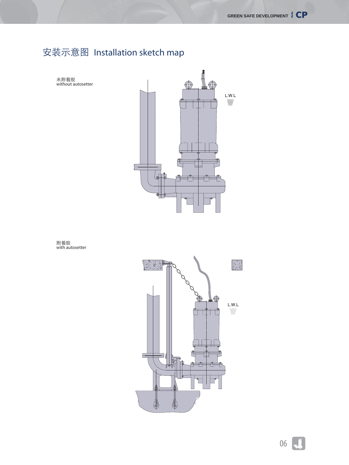## Installation sketch map

L.W.L  $\equiv$ 

without autosetter